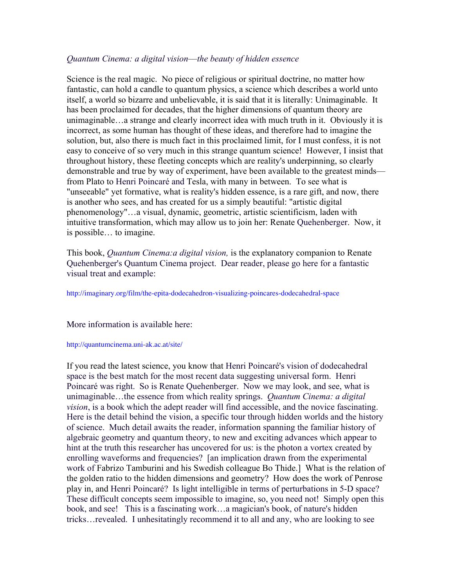## *Quantum Cinema: a digital vision––the beauty of hidden essence*

Science is the real magic. No piece of religious or spiritual doctrine, no matter how fantastic, can hold a candle to quantum physics, a science which describes a world unto itself, a world so bizarre and unbelievable, it is said that it is literally: Unimaginable. It has been proclaimed for decades, that the higher dimensions of quantum theory are unimaginable…a strange and clearly incorrect idea with much truth in it. Obviously it is incorrect, as some human has thought of these ideas, and therefore had to imagine the solution, but, also there is much fact in this proclaimed limit, for I must confess, it is not easy to conceive of so very much in this strange quantum science! However, I insist that throughout history, these fleeting concepts which are reality's underpinning, so clearly demonstrable and true by way of experiment, have been available to the greatest minds–– from Plato to Henri Poincaré and Tesla, with many in between. To see what is "unseeable" yet formative, what is reality's hidden essence, is a rare gift, and now, there is another who sees, and has created for us a simply beautiful: "artistic digital phenomenology"…a visual, dynamic, geometric, artistic scientificism, laden with intuitive transformation, which may allow us to join her: Renate Quehenberger. Now, it is possible… to imagine.

This book, *Quantum Cinema:a digital vision,* is the explanatory companion to Renate Quehenberger's Quantum Cinema project. Dear reader, please go here for a fantastic visual treat and example:

http://imaginary.org/film/the-epita-dodecahedron-visualizing-poincares-dodecahedral-space

More information is available here:

http://quantumcinema.uni-ak.ac.at/site/

If you read the latest science, you know that Henri Poincaré's vision of dodecahedral space is the best match for the most recent data suggesting universal form. Henri Poincaré was right. So is Renate Quehenberger. Now we may look, and see, what is unimaginable…the essence from which reality springs. *Quantum Cinema: a digital vision*, is a book which the adept reader will find accessible, and the novice fascinating. Here is the detail behind the vision, a specific tour through hidden worlds and the history of science. Much detail awaits the reader, information spanning the familiar history of algebraic geometry and quantum theory, to new and exciting advances which appear to hint at the truth this researcher has uncovered for us: is the photon a vortex created by enrolling waveforms and frequencies? [an implication drawn from the experimental work of Fabrizo Tamburini and his Swedish colleague Bo Thide.] What is the relation of the golden ratio to the hidden dimensions and geometry? How does the work of Penrose play in, and Henri Poincaré? Is light intelligible in terms of perturbations in 5-D space? These difficult concepts seem impossible to imagine, so, you need not! Simply open this book, and see! This is a fascinating work…a magician's book, of nature's hidden tricks…revealed. I unhesitatingly recommend it to all and any, who are looking to see